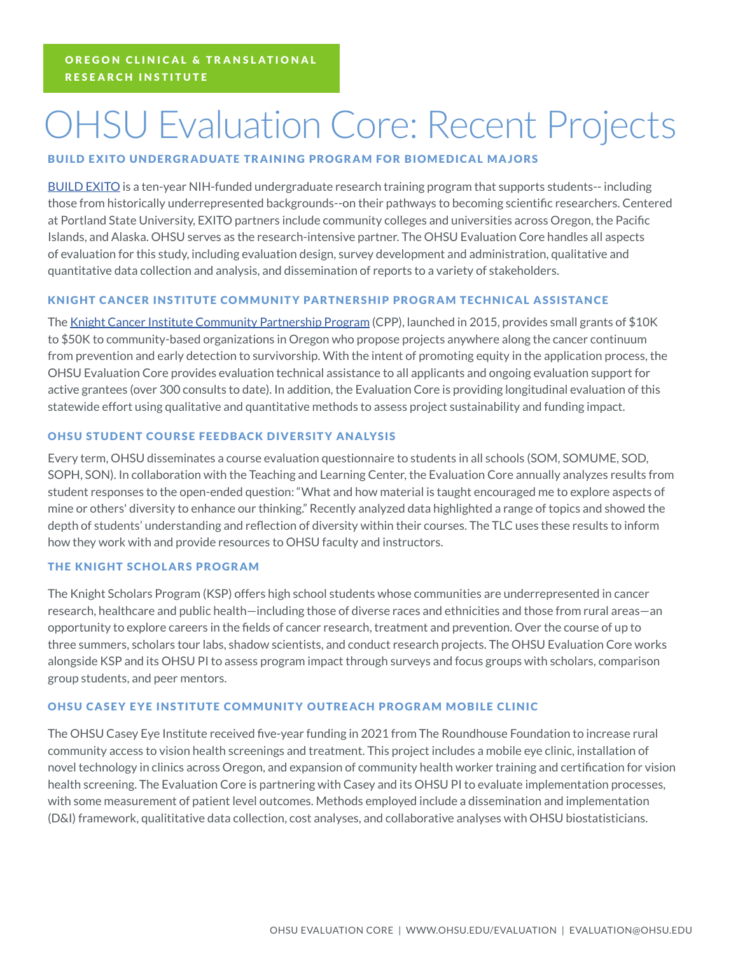# OHSU Evaluation Core: Recent Projects

## BUILD EXITO UNDERGRADUATE TRAINING PROGRAM FOR BIOMEDICAL MAJORS

BUILD EXITO is a ten-year NIH-funded undergraduate research training program that supports students-- including those from historically underrepresented backgrounds--on their pathways to becoming scientific researchers. Centered at Portland State University, EXITO partners include community colleges and universities across Oregon, the Pacific Islands, and Alaska. OHSU serves as the research-intensive partner. The OHSU Evaluation Core handles all aspects of evaluation for this study, including evaluation design, survey development and administration, qualitative and quantitative data collection and analysis, and dissemination of reports to a variety of stakeholders.

### KNIGHT CANCER INSTITUTE COMMUNITY PARTNERSHIP PROGRAM TECHNICAL ASSISTANCE

The Knight Cancer Institute Community Partnership Program (CPP), launched in 2015, provides small grants of \$10K to \$50K to community-based organizations in Oregon who propose projects anywhere along the cancer continuum from prevention and early detection to survivorship. With the intent of promoting equity in the application process, the OHSU Evaluation Core provides evaluation technical assistance to all applicants and ongoing evaluation support for active grantees (over 300 consults to date). In addition, the Evaluation Core is providing longitudinal evaluation of this statewide effort using qualitative and quantitative methods to assess project sustainability and funding impact.

### OHSU STUDENT COURSE FEEDBACK DIVERSITY ANALYSIS

Every term, OHSU disseminates a course evaluation questionnaire to students in all schools (SOM, SOMUME, SOD, SOPH, SON). In collaboration with the Teaching and Learning Center, the Evaluation Core annually analyzes results from student responses to the open-ended question: "What and how material is taught encouraged me to explore aspects of mine or others' diversity to enhance our thinking." Recently analyzed data highlighted a range of topics and showed the depth of students' understanding and reflection of diversity within their courses. The TLC uses these results to inform how they work with and provide resources to OHSU faculty and instructors.

### THE KNIGHT SCHOLARS PROGRAM

The Knight Scholars Program (KSP) offers high school students whose communities are underrepresented in cancer research, healthcare and public health—including those of diverse races and ethnicities and those from rural areas—an opportunity to explore careers in the fields of cancer research, treatment and prevention. Over the course of up to three summers, scholars tour labs, shadow scientists, and conduct research projects. The OHSU Evaluation Core works alongside KSP and its OHSU PI to assess program impact through surveys and focus groups with scholars, comparison group students, and peer mentors.

### OHSU CASEY EYE INSTITUTE COMMUNITY OUTREACH PROGRAM MOBILE CLINIC

The OHSU Casey Eye Institute received five-year funding in 2021 from The Roundhouse Foundation to increase rural community access to vision health screenings and treatment. This project includes a mobile eye clinic, installation of novel technology in clinics across Oregon, and expansion of community health worker training and certification for vision health screening. The Evaluation Core is partnering with Casey and its OHSU PI to evaluate implementation processes, with some measurement of patient level outcomes. Methods employed include a dissemination and implementation (D&I) framework, qualititative data collection, cost analyses, and collaborative analyses with OHSU biostatisticians.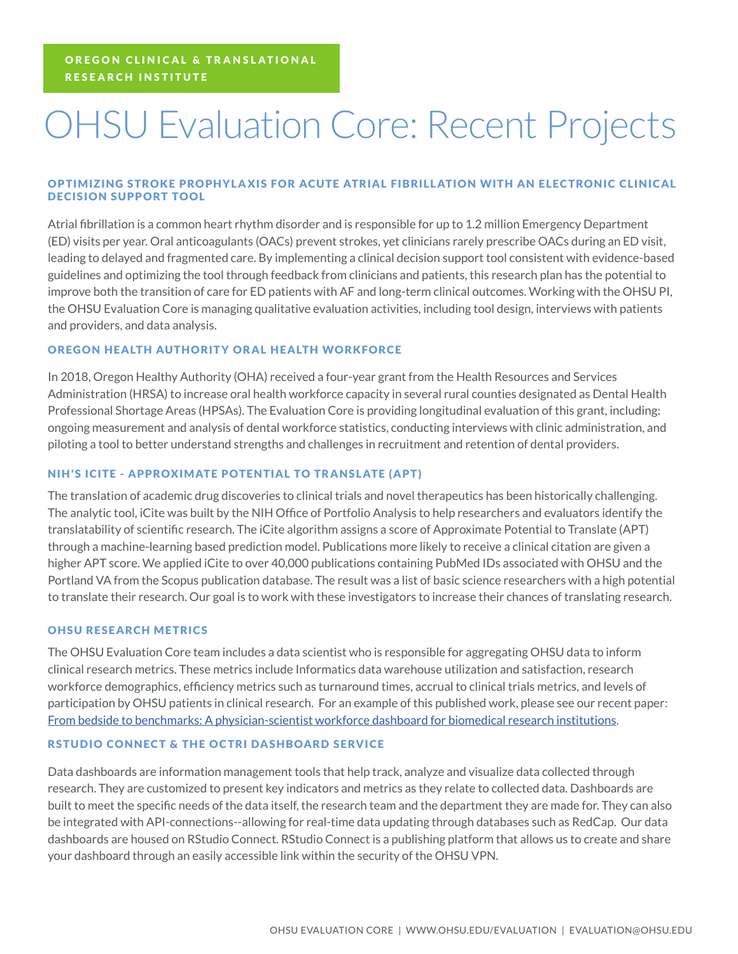# OHSU Evaluation Core: Recent Projects

### OPTIMIZING STROKE PROPHYLAXIS FOR ACUTE ATRIAL FIBRILLATION WITH AN ELECTRONIC CLINICAL DECISION SUPPORT TOOL

Atrial fibrillation is a common heart rhythm disorder and is responsible for up to 1.2 million Emergency Department (ED) visits per year. Oral anticoagulants (OACs) prevent strokes, yet clinicians rarely prescribe OACs during an ED visit, leading to delayed and fragmented care. By implementing a clinical decision support tool consistent with evidence-based guidelines and optimizing the tool through feedback from clinicians and patients, this research plan has the potential to improve both the transition of care for ED patients with AF and long-term clinical outcomes. Working with the OHSU PI, the OHSU Evaluation Core is managing qualitative evaluation activities, including tool design, interviews with patients and providers, and data analysis.

### OREGON HEALTH AUTHORITY ORAL HEALTH WORKFORCE

In 2018, Oregon Healthy Authority (OHA) received a four-year grant from the Health Resources and Services Administration (HRSA) to increase oral health workforce capacity in several rural counties designated as Dental Health Professional Shortage Areas (HPSAs). The Evaluation Core is providing longitudinal evaluation of this grant, including: ongoing measurement and analysis of dental workforce statistics, conducting interviews with clinic administration, and piloting a tool to better understand strengths and challenges in recruitment and retention of dental providers.

#### NIH'S ICITE - APPROXIMATE POTENTIAL TO TR ANSLATE (APT)

The translation of academic drug discoveries to clinical trials and novel therapeutics has been historically challenging. The analytic tool, iCite was built by the NIH Office of Portfolio Analysis to help researchers and evaluators identify the translatability of scientific research. The iCite algorithm assigns a score of Approximate Potential to Translate (APT) through a machine-learning based prediction model. Publications more likely to receive a clinical citation are given a higher APT score. We applied iCite to over 40,000 publications containing PubMed IDs associated with OHSU and the Portland VA from the Scopus publication database. The result was a list of basic science researchers with a high potential to translate their research. Our goal is to work with these investigators to increase their chances of translating research.

#### OHSU RESEARCH METRICS

The OHSU Evaluation Core team includes a data scientist who is responsible for aggregating OHSU data to inform clinical research metrics. These metrics include Informatics data warehouse utilization and satisfaction, research workforce demographics, efficiency metrics such as turnaround times, accrual to clinical trials metrics, and levels of participation by OHSU patients in clinical research. For an example of this published work, please see our recent paper: From bedside to benchmarks: A physician-scientist workforce dashboard for biomedical research institutions.

#### RSTUDIO CONNECT & THE OCTRI DASHBOARD SERVICE

Data dashboards are information management tools that help track, analyze and visualize data collected through research. They are customized to present key indicators and metrics as they relate to collected data. Dashboards are built to meet the specific needs of the data itself, the research team and the department they are made for. They can also be integrated with API-connections--allowing for real-time data updating through databases such as RedCap. Our data dashboards are housed on RStudio Connect. RStudio Connect is a publishing platform that allows us to create and share your dashboard through an easily accessible link within the security of the OHSU VPN.